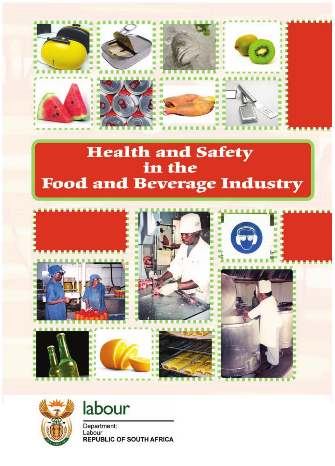

# Health and Safety<br>in the **Food and Beverage Industry**





labour

Department: Labour **REPUBLIC OF SOUTH AFRICA**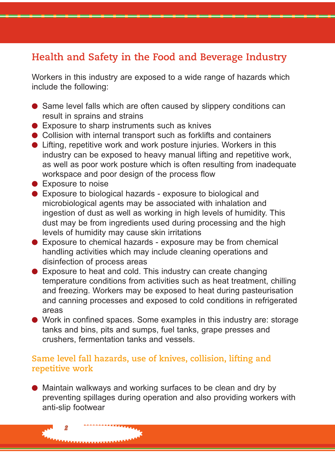## **Health and Safety in the Food and Beverage Industry**

Workers in this industry are exposed to a wide range of hazards which include the following:

- Same level falls which are often caused by slippery conditions can result in sprains and strains
- Exposure to sharp instruments such as knives
- Collision with internal transport such as forklifts and containers
- $\bullet$  Lifting, repetitive work and work posture injuries. Workers in this industry can be exposed to heavy manual lifting and repetitive work, as well as poor work posture which is often resulting from inadequate workspace and poor design of the process flow
- Exposure to noise

*2*

- Exposure to biological hazards exposure to biological and microbiological agents may be associated with inhalation and ingestion of dust as well as working in high levels of humidity. This dust may be from ingredients used during processing and the high levels of humidity may cause skin irritations
- Exposure to chemical hazards exposure may be from chemical handling activities which may include cleaning operations and disinfection of process areas
- Exposure to heat and cold. This industry can create changing temperature conditions from activities such as heat treatment, chilling and freezing. Workers may be exposed to heat during pasteurisation and canning processes and exposed to cold conditions in refrigerated areas
- Work in confined spaces. Some examples in this industry are: storage tanks and bins, pits and sumps, fuel tanks, grape presses and crushers, fermentation tanks and vessels.

#### **Same level fall hazards, use of knives, collision, lifting and repetitive work**

● Maintain walkways and working surfaces to be clean and dry by preventing spillages during operation and also providing workers with anti-slip footwear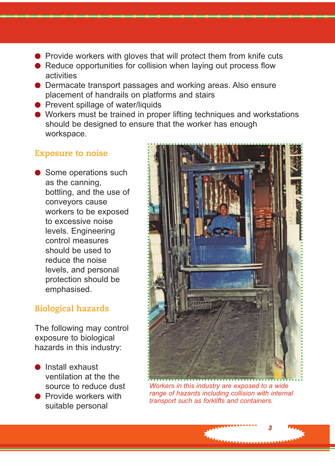- Provide workers with gloves that will protect them from knife cuts
- Reduce opportunities for collision when laying out process flow activities
- Dermacate transport passages and working areas. Also ensure placement of handrails on platforms and stairs
- Prevent spillage of water/liquids
- Workers must be trained in proper lifting techniques and workstations should be designed to ensure that the worker has enough workspace.

#### **Exposure to noise**

● Some operations such as the canning, bottling, and the use of conveyors cause workers to be exposed to excessive noise levels. Engineering control measures should be used to reduce the noise levels, and personal protection should be emphasised.

#### **Biological hazards**

The following may control exposure to biological hazards in this industry:

- Install exhaust ventilation at the the source to reduce dust
- **Provide workers with** suitable personal



*Workers in this industry are exposed to a wide range of hazards including collision with internal transport such as forklifts and containers.*

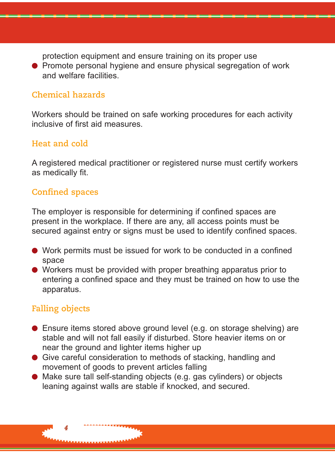protection equipment and ensure training on its proper use

● Promote personal hygiene and ensure physical segregation of work and welfare facilities.

#### **Chemical hazards**

Workers should be trained on safe working procedures for each activity inclusive of first aid measures.

#### **Heat and cold**

A registered medical practitioner or registered nurse must certify workers as medically fit.

#### **Confined spaces**

The employer is responsible for determining if confined spaces are present in the workplace. If there are any, all access points must be secured against entry or signs must be used to identify confined spaces.

- Work permits must be issued for work to be conducted in a confined space
- Workers must be provided with proper breathing apparatus prior to entering a confined space and they must be trained on how to use the apparatus.

#### **Falling objects**

- Ensure items stored above ground level (e.g. on storage shelving) are stable and will not fall easily if disturbed. Store heavier items on or near the ground and lighter items higher up
- Give careful consideration to methods of stacking, handling and movement of goods to prevent articles falling
- Make sure tall self-standing objects (e.g. gas cylinders) or objects leaning against walls are stable if knocked, and secured.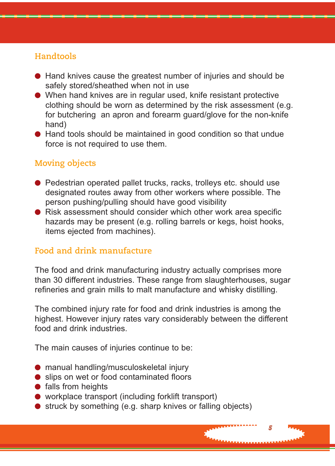#### **Handtools**

- Hand knives cause the greatest number of injuries and should be safely stored/sheathed when not in use
- When hand knives are in regular used, knife resistant protective clothing should be worn as determined by the risk assessment (e.g. for butchering an apron and forearm guard/glove for the non-knife hand)
- Hand tools should be maintained in good condition so that undue force is not required to use them.

#### **Moving objects**

- Pedestrian operated pallet trucks, racks, trolleys etc. should use designated routes away from other workers where possible. The person pushing/pulling should have good visibility
- Risk assessment should consider which other work area specific hazards may be present (e.g. rolling barrels or kegs, hoist hooks, items ejected from machines).

#### **Food and drink manufacture**

The food and drink manufacturing industry actually comprises more than 30 different industries. These range from slaughterhouses, sugar refineries and grain mills to malt manufacture and whisky distilling.

The combined injury rate for food and drink industries is among the highest. However injury rates vary considerably between the different food and drink industries.

*5*

The main causes of injuries continue to be:

- manual handling/musculoskeletal injury
- slips on wet or food contaminated floors
- falls from heights
- workplace transport (including forklift transport)
- struck by something (e.g. sharp knives or falling objects)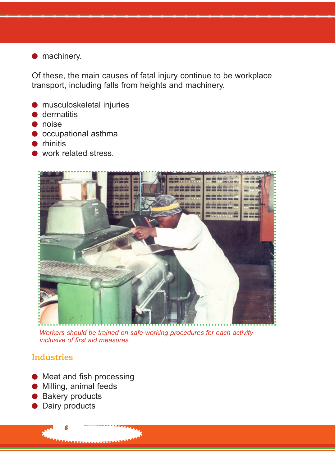#### ● machinery.

Of these, the main causes of fatal injury continue to be workplace transport, including falls from heights and machinery.

- musculoskeletal injuries
- dermatitis
- noise
- occupational asthma
- rhinitis
- work related stress.



*Workers should be trained on safe working procedures for each activity inclusive of first aid measures.*

#### **Industries**

- Meat and fish processing
- Milling, animal feeds
- Bakery products
- Dairy products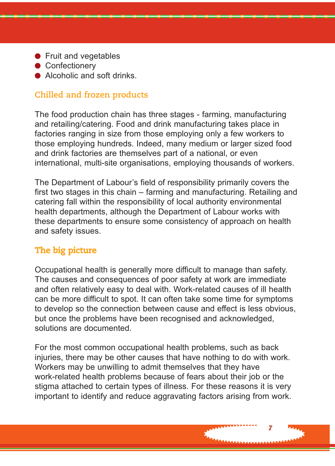- Fruit and vegetables
- Confectionery
- Alcoholic and soft drinks

#### **Chilled and frozen products**

The food production chain has three stages - farming, manufacturing and retailing/catering. Food and drink manufacturing takes place in factories ranging in size from those employing only a few workers to those employing hundreds. Indeed, many medium or larger sized food and drink factories are themselves part of a national, or even international, multi-site organisations, employing thousands of workers.

The Department of Labour's field of responsibility primarily covers the first two stages in this chain – farming and manufacturing. Retailing and catering fall within the responsibility of local authority environmental health departments, although the Department of Labour works with these departments to ensure some consistency of approach on health and safety issues.

## **The big picture**

Occupational health is generally more difficult to manage than safety. The causes and consequences of poor safety at work are immediate and often relatively easy to deal with. Work-related causes of ill health can be more difficult to spot. It can often take some time for symptoms to develop so the connection between cause and effect is less obvious, but once the problems have been recognised and acknowledged, solutions are documented.

For the most common occupational health problems, such as back injuries, there may be other causes that have nothing to do with work. Workers may be unwilling to admit themselves that they have work-related health problems because of fears about their job or the stigma attached to certain types of illness. For these reasons it is very important to identify and reduce aggravating factors arising from work.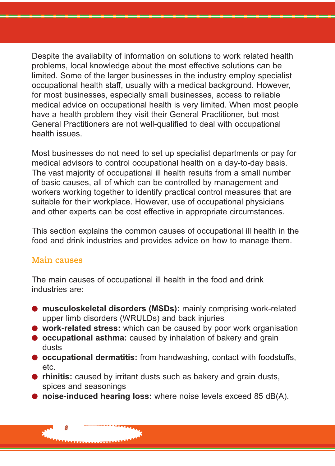Despite the availabilty of information on solutions to work related health problems, local knowledge about the most effective solutions can be limited. Some of the larger businesses in the industry employ specialist occupational health staff, usually with a medical background. However, for most businesses, especially small businesses, access to reliable medical advice on occupational health is very limited. When most people have a health problem they visit their General Practitioner, but most General Practitioners are not well-qualified to deal with occupational health issues.

Most businesses do not need to set up specialist departments or pay for medical advisors to control occupational health on a day-to-day basis. The vast majority of occupational ill health results from a small number of basic causes, all of which can be controlled by management and workers working together to identify practical control measures that are suitable for their workplace. However, use of occupational physicians and other experts can be cost effective in appropriate circumstances.

This section explains the common causes of occupational ill health in the food and drink industries and provides advice on how to manage them.

#### **Main causes**

*8*

The main causes of occupational ill health in the food and drink industries are:

- **musculoskeletal disorders (MSDs):** mainly comprising work-related upper limb disorders (WRULDs) and back injuries
- **work-related stress:** which can be caused by poor work organisation
- **occupational asthma:** caused by inhalation of bakery and grain dusts
- **occupational dermatitis:** from handwashing, contact with foodstuffs, etc.
- **rhinitis:** caused by irritant dusts such as bakery and grain dusts, spices and seasonings
- **noise-induced hearing loss:** where noise levels exceed 85 dB(A).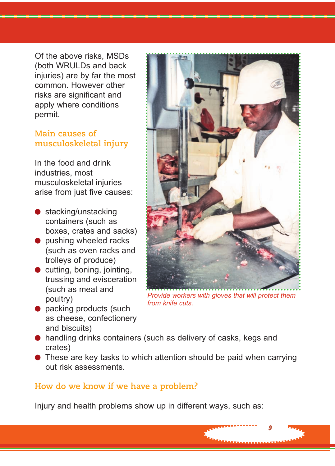Of the above risks, MSDs (both WRULDs and back injuries) are by far the most common. However other risks are significant and apply where conditions permit.

#### **Main causes of musculoskeletal injury**

In the food and drink industries, most musculoskeletal injuries arise from just five causes:

- stacking/unstacking containers (such as boxes, crates and sacks)
- pushing wheeled racks (such as oven racks and trolleys of produce)
- $\bullet$  cutting, boning, jointing, trussing and evisceration (such as meat and poultry)
- packing products (such as cheese, confectionery and biscuits)



*Provide workers with gloves that will protect them from knife cuts.*

*9*

- handling drinks containers (such as delivery of casks, kegs and crates)
- These are key tasks to which attention should be paid when carrying out risk assessments.

#### **How do we know if we have a problem?**

Injury and health problems show up in different ways, such as: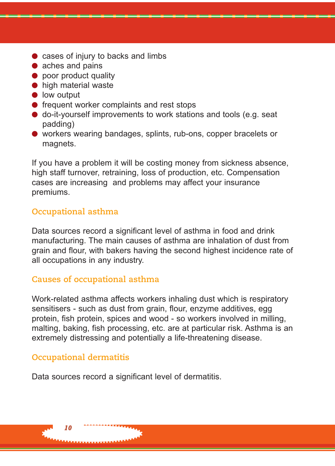- cases of injury to backs and limbs
- aches and pains
- poor product quality
- high material waste
- low output
- frequent worker complaints and rest stops
- do-it-yourself improvements to work stations and tools (e.g. seat padding)
- workers wearing bandages, splints, rub-ons, copper bracelets or magnets.

If you have a problem it will be costing money from sickness absence, high staff turnover, retraining, loss of production, etc. Compensation cases are increasing and problems may affect your insurance premiums.

#### **Occupational asthma**

Data sources record a significant level of asthma in food and drink manufacturing. The main causes of asthma are inhalation of dust from grain and flour, with bakers having the second highest incidence rate of all occupations in any industry.

#### **Causes of occupational asthma**

Work-related asthma affects workers inhaling dust which is respiratory sensitisers - such as dust from grain, flour, enzyme additives, egg protein, fish protein, spices and wood - so workers involved in milling, malting, baking, fish processing, etc. are at particular risk. Asthma is an extremely distressing and potentially a life-threatening disease.

#### **Occupational dermatitis**

Data sources record a significant level of dermatitis.

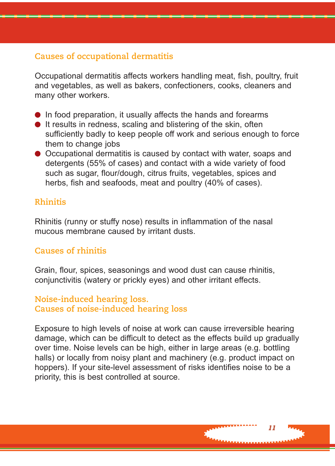#### **Causes of occupational dermatitis**

Occupational dermatitis affects workers handling meat, fish, poultry, fruit and vegetables, as well as bakers, confectioners, cooks, cleaners and many other workers.

- In food preparation, it usually affects the hands and forearms
- It results in redness, scaling and blistering of the skin, often sufficiently badly to keep people off work and serious enough to force them to change jobs
- Occupational dermatitis is caused by contact with water, soaps and detergents (55% of cases) and contact with a wide variety of food such as sugar, flour/dough, citrus fruits, vegetables, spices and herbs, fish and seafoods, meat and poultry (40% of cases).

#### **Rhinitis**

Rhinitis (runny or stuffy nose) results in inflammation of the nasal mucous membrane caused by irritant dusts.

#### **Causes of rhinitis**

Grain, flour, spices, seasonings and wood dust can cause rhinitis, conjunctivitis (watery or prickly eyes) and other irritant effects.

#### **Noise-induced hearing loss. Causes of noise-induced hearing loss**

Exposure to high levels of noise at work can cause irreversible hearing damage, which can be difficult to detect as the effects build up gradually over time. Noise levels can be high, either in large areas (e.g. bottling halls) or locally from noisy plant and machinery (e.g. product impact on hoppers). If your site-level assessment of risks identifies noise to be a priority, this is best controlled at source.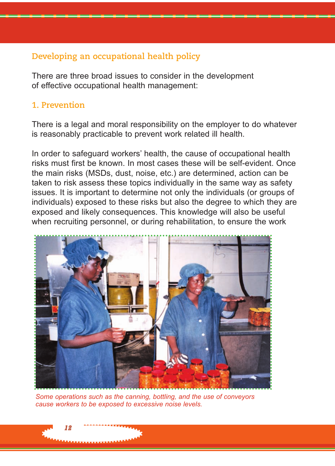#### **Developing an occupational health policy**

There are three broad issues to consider in the development of effective occupational health management:

#### **1. Prevention**

There is a legal and moral responsibility on the employer to do whatever is reasonably practicable to prevent work related ill health.

In order to safeguard workers' health, the cause of occupational health risks must first be known. In most cases these will be self-evident. Once the main risks (MSDs, dust, noise, etc.) are determined, action can be taken to risk assess these topics individually in the same way as safety issues. It is important to determine not only the individuals (or groups of individuals) exposed to these risks but also the degree to which they are exposed and likely consequences. This knowledge will also be useful when recruiting personnel, or during rehabilitation, to ensure the work



*Some operations such as the canning, bottling, and the use of conveyors cause workers to be exposed to excessive noise levels.*

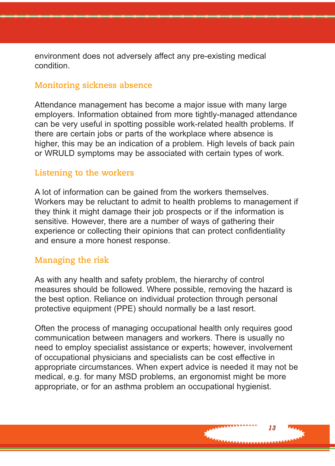environment does not adversely affect any pre-existing medical condition.

#### **Monitoring sickness absence**

Attendance management has become a major issue with many large employers. Information obtained from more tightly-managed attendance can be very useful in spotting possible work-related health problems. If there are certain jobs or parts of the workplace where absence is higher, this may be an indication of a problem. High levels of back pain or WRULD symptoms may be associated with certain types of work.

#### **Listening to the workers**

A lot of information can be gained from the workers themselves. Workers may be reluctant to admit to health problems to management if they think it might damage their job prospects or if the information is sensitive. However, there are a number of ways of gathering their experience or collecting their opinions that can protect confidentiality and ensure a more honest response.

#### **Managing the risk**

As with any health and safety problem, the hierarchy of control measures should be followed. Where possible, removing the hazard is the best option. Reliance on individual protection through personal protective equipment (PPE) should normally be a last resort.

Often the process of managing occupational health only requires good communication between managers and workers. There is usually no need to employ specialist assistance or experts; however, involvement of occupational physicians and specialists can be cost effective in appropriate circumstances. When expert advice is needed it may not be medical, e.g. for many MSD problems, an ergonomist might be more appropriate, or for an asthma problem an occupational hygienist.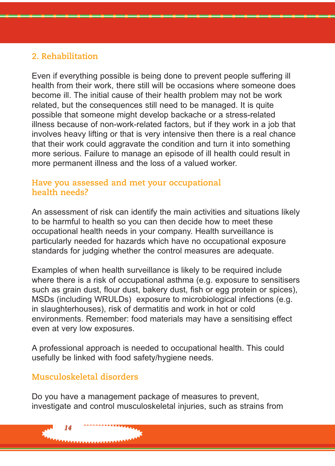#### **2. Rehabilitation**

Even if everything possible is being done to prevent people suffering ill health from their work, there still will be occasions where someone does become ill. The initial cause of their health problem may not be work related, but the consequences still need to be managed. It is quite possible that someone might develop backache or a stress-related illness because of non-work-related factors, but if they work in a job that involves heavy lifting or that is very intensive then there is a real chance that their work could aggravate the condition and turn it into something more serious. Failure to manage an episode of ill health could result in more permanent illness and the loss of a valued worker.

#### **Have you assessed and met your occupational health needs?**

An assessment of risk can identify the main activities and situations likely to be harmful to health so you can then decide how to meet these occupational health needs in your company. Health surveillance is particularly needed for hazards which have no occupational exposure standards for judging whether the control measures are adequate.

Examples of when health surveillance is likely to be required include where there is a risk of occupational asthma (e.g. exposure to sensitisers such as grain dust, flour dust, bakery dust, fish or egg protein or spices), MSDs (including WRULDs) exposure to microbiological infections (e.g. in slaughterhouses), risk of dermatitis and work in hot or cold environments. Remember: food materials may have a sensitising effect even at very low exposures.

A professional approach is needed to occupational health. This could usefully be linked with food safety/hygiene needs.

#### **Musculoskeletal disorders**

*14*

Do you have a management package of measures to prevent, investigate and control musculoskeletal injuries, such as strains from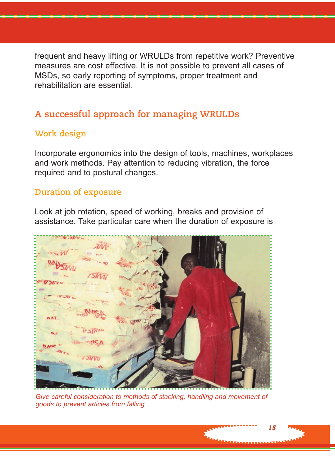frequent and heavy lifting or WRULDs from repetitive work? Preventive measures are cost effective. It is not possible to prevent all cases of MSDs, so early reporting of symptoms, proper treatment and rehabilitation are essential.

### **A successful approach for managing WRULDs**

#### **Work design**

Incorporate ergonomics into the design of tools, machines, workplaces and work methods. Pay attention to reducing vibration, the force required and to postural changes.

#### **Duration of exposure**

Look at job rotation, speed of working, breaks and provision of assistance. Take particular care when the duration of exposure is



*Give careful consideration to methods of stacking, handling and movement of goods to prevent articles from falling.*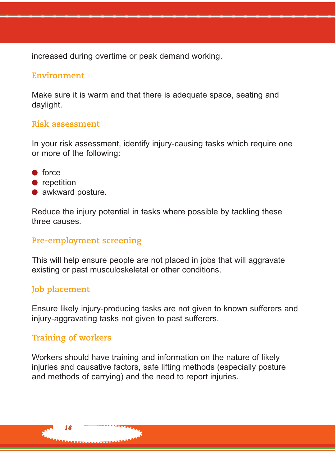increased during overtime or peak demand working.

#### **Environment**

Make sure it is warm and that there is adequate space, seating and daylight.

#### **Risk assessment**

In your risk assessment, identify injury-causing tasks which require one or more of the following:

- force
- repetition
- awkward posture.

Reduce the injury potential in tasks where possible by tackling these three causes.

#### **Pre-employment screening**

This will help ensure people are not placed in jobs that will aggravate existing or past musculoskeletal or other conditions.

#### **Job placement**

Ensure likely injury-producing tasks are not given to known sufferers and injury-aggravating tasks not given to past sufferers.

#### **Training of workers**

Workers should have training and information on the nature of likely injuries and causative factors, safe lifting methods (especially posture and methods of carrying) and the need to report injuries.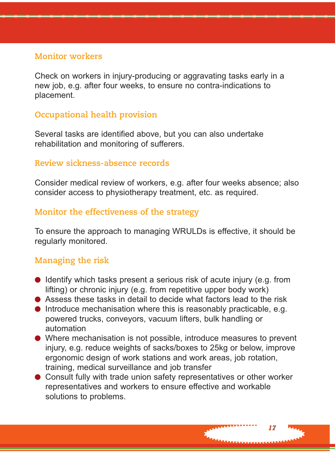#### **Monitor workers**

Check on workers in injury-producing or aggravating tasks early in a new job, e.g. after four weeks, to ensure no contra-indications to placement.

#### **Occupational health provision**

Several tasks are identified above, but you can also undertake rehabilitation and monitoring of sufferers.

#### **Review sickness-absence records**

Consider medical review of workers, e.g. after four weeks absence; also consider access to physiotherapy treatment, etc. as required.

#### **Monitor the effectiveness of the strategy**

To ensure the approach to managing WRULDs is effective, it should be regularly monitored.

#### **Managing the risk**

- Identify which tasks present a serious risk of acute injury (e.g. from lifting) or chronic injury (e.g. from repetitive upper body work)
- Assess these tasks in detail to decide what factors lead to the risk
- Introduce mechanisation where this is reasonably practicable, e.g. powered trucks, conveyors, vacuum lifters, bulk handling or automation
- Where mechanisation is not possible, introduce measures to prevent injury, e.g. reduce weights of sacks/boxes to 25kg or below, improve ergonomic design of work stations and work areas, job rotation, training, medical surveillance and job transfer
- Consult fully with trade union safety representatives or other worker representatives and workers to ensure effective and workable solutions to problems.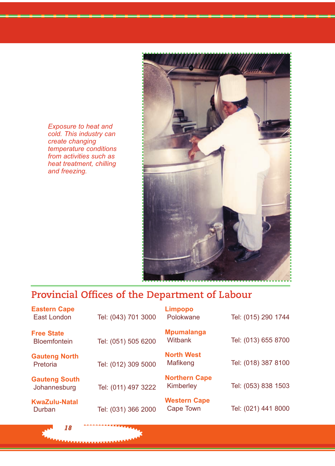*Exposure to heat and cold. This industry can create changing temperature conditions from activities such as heat treatment, chilling and freezing.* 

*18*



# **Provincial Offices of the Department of Labour**

| <b>Eastern Cape</b><br>East London       | Tel: (043) 701 3000 | <b>Limpopo</b><br>Polokwane       | Tel: (015) 290 1744 |
|------------------------------------------|---------------------|-----------------------------------|---------------------|
| <b>Free State</b><br><b>Bloemfontein</b> | Tel: (051) 505 6200 | <b>Mpumalanga</b><br>Witbank      | Tel: (013) 655 8700 |
| <b>Gauteng North</b><br>Pretoria         | Tel: (012) 309 5000 | <b>North West</b><br>Mafikeng     | Tel: (018) 387 8100 |
| <b>Gauteng South</b><br>Johannesburg     | Tel: (011) 497 3222 | <b>Northern Cape</b><br>Kimberley | Tel: (053) 838 1503 |
| <b>KwaZulu-Natal</b><br>Durban           | Tel: (031) 366 2000 | <b>Western Cape</b><br>Cape Town  | Tel: (021) 441 8000 |
|                                          |                     |                                   |                     |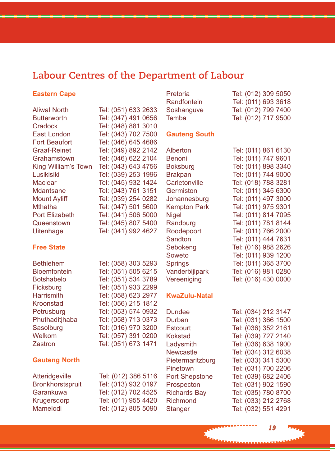# **Labour Centres of the Department of Labour**

Pretoria Tel: (012) 309 5050

#### **Eastern Cape**

|                      |                     | Randfontein          | Tel: (011) 693 3618 |
|----------------------|---------------------|----------------------|---------------------|
| <b>Aliwal North</b>  | Tel: (051) 633 2633 | Soshanguve           | Tel: (012) 799 7400 |
| <b>Butterworth</b>   | Tel: (047) 491 0656 | Temba                | Tel: (012) 717 9500 |
| Cradock              | Tel: (048) 881 3010 |                      |                     |
| East London          | Tel: (043) 702 7500 | <b>Gauteng South</b> |                     |
| <b>Fort Beaufort</b> | Tel: (046) 645 4686 |                      |                     |
| <b>Graaf-Reinet</b>  | Tel: (049) 892 2142 | Alberton             | Tel: (011) 861 6130 |
| Grahamstown          | Tel: (046) 622 2104 | Benoni               | Tel: (011) 747 9601 |
| King William's Town  | Tel: (043) 643 4756 | <b>Boksburg</b>      | Tel: (011) 898 3340 |
| Lusikisiki           | Tel: (039) 253 1996 | <b>Brakpan</b>       | Tel: (011) 744 9000 |
| <b>Maclear</b>       | Tel: (045) 932 1424 | Carletonville        | Tel: (018) 788 3281 |
| <b>Mdantsane</b>     | Tel: (043) 761 3151 | Germiston            | Tel: (011) 345 6300 |
| <b>Mount Ayliff</b>  | Tel: (039) 254 0282 | Johannesburg         | Tel: (011) 497 3000 |
| <b>Mthatha</b>       | Tel: (047) 501 5600 | <b>Kempton Park</b>  | Tel: (011) 975 9301 |
| Port Elizabeth       | Tel: (041) 506 5000 | <b>Nigel</b>         | Tel: (011) 814 7095 |
| Queenstown           | Tel: (045) 807 5400 | Randburg             | Tel: (011) 781 8144 |
| Uitenhage            | Tel: (041) 992 4627 | Roodepoort           | Tel: (011) 766 2000 |
|                      |                     | Sandton              | Tel: (011) 444 7631 |
| <b>Free State</b>    |                     | Sebokeng             | Tel: (016) 988 2626 |
|                      |                     | Soweto               | Tel: (011) 939 1200 |
| <b>Bethlehem</b>     | Tel: (058) 303 5293 | <b>Springs</b>       | Tel: (011) 365 3700 |
| <b>Bloemfontein</b>  | Tel: (051) 505 6215 | Vanderbijlpark       | Tel: (016) 981 0280 |
| <b>Botshabelo</b>    | Tel: (051) 534 3789 | Vereeniging          | Tel: (016) 430 0000 |
| Ficksburg            | Tel: (051) 933 2299 |                      |                     |
| <b>Harrismith</b>    | Tel: (058) 623 2977 | <b>KwaZulu-Natal</b> |                     |
| Kroonstad            | Tel: (056) 215 1812 |                      |                     |
| Petrusburg           | Tel: (053) 574 0932 | Dundee               | Tel: (034) 212 3147 |
| Phuthaditjhaba       | Tel: (058) 713 0373 | Durban               | Tel: (031) 366 1500 |
| Sasolburg            | Tel: (016) 970 3200 | Estcourt             | Tel: (036) 352 2161 |
| Welkom               | Tel: (057) 391 0200 | <b>Kokstad</b>       | Tel: (039) 727 2140 |
| Zastron              | Tel: (051) 673 1471 | Ladysmith            | Tel: (036) 638 1900 |
|                      |                     | <b>Newcastle</b>     | Tel: (034) 312 6038 |
| <b>Gauteng North</b> |                     | Pietermaritzburg     | Tel: (033) 341 5300 |
|                      |                     | Pinetown             | Tel: (031) 700 2206 |
| Atteridgeville       | Tel: (012) 386 5116 | Port Shepstone       | Tel: (039) 682 2406 |
| Bronkhorstspruit     | Tel: (013) 932 0197 | Prospecton           | Tel: (031) 902 1590 |
| Garankuwa            | Tel: (012) 702 4525 | <b>Richards Bay</b>  | Tel: (035) 780 8700 |
| Krugersdorp          | Tel: (011) 955 4420 | Richmond             | Tel: (033) 212 2768 |
| Mamelodi             | Tel: (012) 805 5090 | <b>Stanger</b>       | Tel: (032) 551 4291 |
|                      |                     |                      |                     |